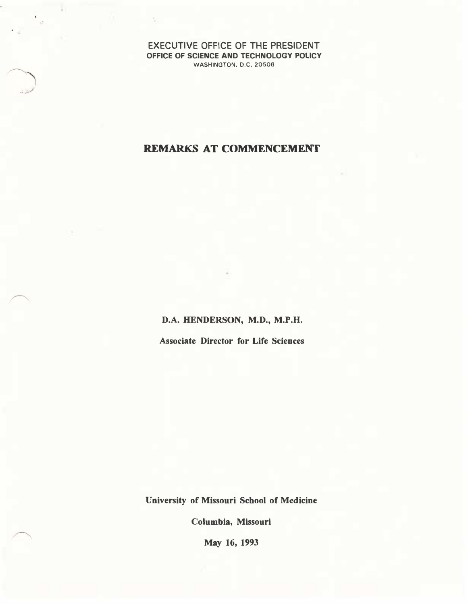EXECUTIVE OFFICE OF THE PRESIDENT OFFICE OF SCIENCE AND TECHNOLOGY POLICY WASHINGTON, D.C. 20506

## REMARKS AT COMMENCEMENT

D.A. HENDERSON, M.D., M.P.H.

Associate Director for Life Sciences

University of Missouri School of Medicine

Columbia, Missouri

May 16, 1993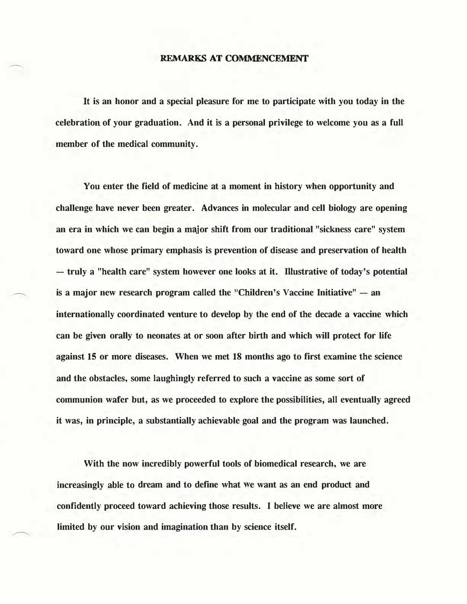## REMARKS AT COMMENCEMENT

It is an honor and a special pleasure for me to participate with you today in the celebration of your graduation. And it is a personal privilege to welcome you as a full member of the medical community.

You enter the field of medicine at a moment in history when opportunity and challenge have never been greater. Advances in molecular and cell biology are opening an era in which we can begin a major shift from our traditional "sickness care" system toward one whose primary emphasis is prevention of disease and preservation of health - truly a "health care" system however one looks at it. Illustrative of today's potential is a major new research program called the "Children's Vaccine Initiative"  $-$  an internationally coordinated venture to develop by the end of the decade a vaccine which can be given orally to neonates at or soon after birth and which will protect for life against 15 or more diseases. When we met 18 months ago to first examine the science and the obstacles, some laughingly referred to such a vaccine as some sort of communion wafer but, as we proceeded to explore the possibilities, all eventually agreed it was, in principle, a substantially achievable goal and the program was launched.

With the now incredibly powerful tools of biomedical research, we are increasingly able to dream and to define what we want as an end product and confidently proceed toward achieving those results. I believe we are almost more limited by our vision and imagination than by science itself.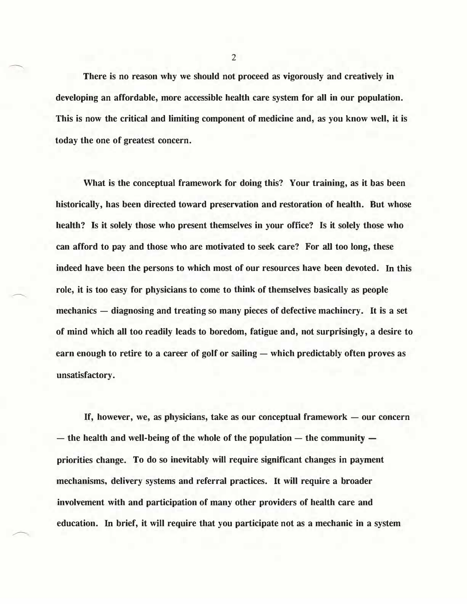There is no reason why we should not proceed as vigorously and creatively in developing an affordable, more accessible health care system for all in our population. This is now the critical and limiting component of medicine and, as you know well, it is today the one of greatest concern.

What is the conceptual framework for doing this? Your training, as it bas been historically, has been directed toward preservation and restoration of health. But whose health? Is it solely those who present themselves in your office? Is it solely those who can afford to pay and those who are motivated to seek care? For all too long, these indeed have been the persons to which most of our resources have been devoted. In this role, it is too easy for physicians to come to think of themselves basically as people mechanics — diagnosing and treating so many pieces of defective machinery. It is a set of mind which all too readily leads to boredom, fatigue and, not surprisingly, a desire to earn enough to retire to a career of golf or sailing  $-$  which predictably often proves as unsatisfactory.

If, however, we, as physicians, take as our conceptual framework  $-$  our concern  $-$  the health and well-being of the whole of the population  $-$  the community  $$ priorities change. To do so inevitably will require significant changes in payment mechanisms, delivery systems and referral practices. It will require a broader involvement with and participation of many other providers of health care and education. In brief, it will require that you participate not as a mechanic in a system

2